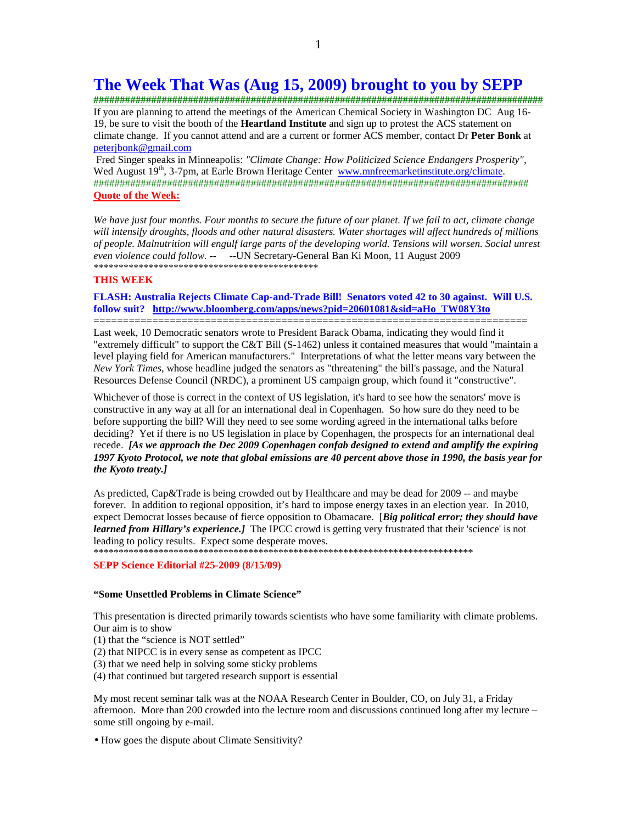## **The Week That Was (Aug 15, 2009) brought to you by SEPP**

**######################################################################################** If you are planning to attend the meetings of the American Chemical Society in Washington DC Aug 16- 19, be sure to visit the booth of the **Heartland Institute** and sign up to protest the ACS statement on climate change. If you cannot attend and are a current or former ACS member, contact Dr **Peter Bonk** at peterjbonk@gmail.com

 Fred Singer speaks in Minneapolis: *"Climate Change: How Politicized Science Endangers Prosperity",* Wed August 19<sup>th</sup>, 3-7pm, at Earle Brown Heritage Center www.mnfreemarketinstitute.org/climate. ################################################################################### **Quote of the Week:**

*We have just four months. Four months to secure the future of our planet. If we fail to act, climate change will intensify droughts, floods and other natural disasters. Water shortages will affect hundreds of millions of people. Malnutrition will engulf large parts of the developing world. Tensions will worsen. Social unrest even violence could follow.* -- --UN Secretary-General Ban Ki Moon, 11 August 2009 \*\*\*\*\*\*\*\*\*\*\*\*\*\*\*\*\*\*\*\*\*\*\*\*\*\*\*\*\*\*\*\*\*\*\*\*\*\*\*\*\*\*\*\*\*

#### **THIS WEEK**

#### **FLASH: Australia Rejects Climate Cap-and-Trade Bill! Senators voted 42 to 30 against. Will U.S. follow suit? http://www.bloomberg.com/apps/news?pid=20601081&sid=aHo\_TW08Y3to**

========================================================================== Last week, 10 Democratic senators wrote to President Barack Obama, indicating they would find it "extremely difficult" to support the C&T Bill (S-1462) unless it contained measures that would "maintain a level playing field for American manufacturers." Interpretations of what the letter means vary between the *New York Times*, whose headline judged the senators as "threatening" the bill's passage, and the Natural Resources Defense Council (NRDC), a prominent US campaign group, which found it "constructive".

Whichever of those is correct in the context of US legislation, it's hard to see how the senators' move is constructive in any way at all for an international deal in Copenhagen. So how sure do they need to be before supporting the bill? Will they need to see some wording agreed in the international talks before deciding? Yet if there is no US legislation in place by Copenhagen, the prospects for an international deal recede. *[As we approach the Dec 2009 Copenhagen confab designed to extend and amplify the expiring 1997 Kyoto Protocol, we note that global emissions are 40 percent above those in 1990, the basis year for the Kyoto treaty.]*

As predicted, Cap&Trade is being crowded out by Healthcare and may be dead for 2009 -- and maybe forever. In addition to regional opposition, it's hard to impose energy taxes in an election year. In 2010, expect Democrat losses because of fierce opposition to Obamacare. [*Big political error; they should have learned from Hillary's experience.]* The IPCC crowd is getting very frustrated that their 'science' is not leading to policy results. Expect some desperate moves.

\*\*\*\*\*\*\*\*\*\*\*\*\*\*\*\*\*\*\*\*\*\*\*\*\*\*\*\*\*\*\*\*\*\*\*\*\*\*\*\*\*\*\*\*\*\*\*\*\*\*\*\*\*\*\*\*\*\*\*\*\*\*\*\*\*\*\*\*\*\*\*\*\*\*\*\*

#### **SEPP Science Editorial #25-2009 (8/15/09)**

#### **"Some Unsettled Problems in Climate Science"**

This presentation is directed primarily towards scientists who have some familiarity with climate problems. Our aim is to show

- (1) that the "science is NOT settled"
- (2) that NIPCC is in every sense as competent as IPCC
- (3) that we need help in solving some sticky problems
- (4) that continued but targeted research support is essential

My most recent seminar talk was at the NOAA Research Center in Boulder, CO, on July 31, a Friday afternoon. More than 200 crowded into the lecture room and discussions continued long after my lecture – some still ongoing by e-mail.

• How goes the dispute about Climate Sensitivity?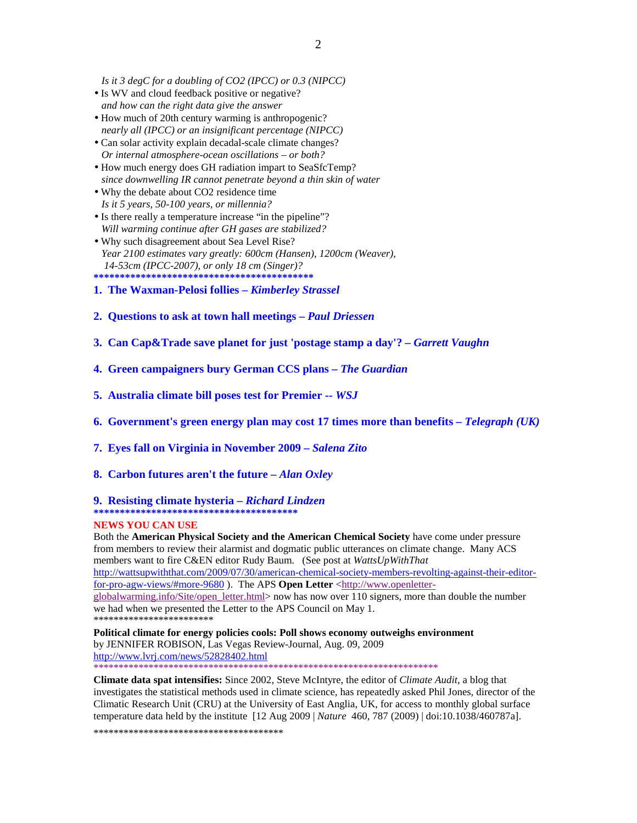*Is it 3 degC for a doubling of CO2 (IPCC) or 0.3 (NIPCC)* 

- Is WV and cloud feedback positive or negative?  *and how can the right data give the answer*
- How much of 20th century warming is anthropogenic?  *nearly all (IPCC) or an insignificant percentage (NIPCC)*
- Can solar activity explain decadal-scale climate changes?  *Or internal atmosphere-ocean oscillations – or both?*
- How much energy does GH radiation impart to SeaSfcTemp?  *since downwelling IR cannot penetrate beyond a thin skin of water*
- Why the debate about CO2 residence time  *Is it 5 years, 50-100 years, or millennia?*
- Is there really a temperature increase "in the pipeline"?  *Will warming continue after GH gases are stabilized?*
- Why such disagreement about Sea Level Rise?  *Year 2100 estimates vary greatly: 600cm (Hansen), 1200cm (Weaver), 14-53cm (IPCC-2007), or only 18 cm (Singer)?*  **\*\*\*\*\*\*\*\*\*\*\*\*\*\*\*\*\*\*\*\*\*\*\*\*\*\*\*\*\*\*\*\*\*\*\*\*\*\*\*\*\*\***
- **1. The Waxman-Pelosi follies** *Kimberley Strassel*
- **2. Questions to ask at town hall meetings** *Paul Driessen*
- **3. Can Cap&Trade save planet for just 'postage stamp a day'?** *Garrett Vaughn*
- **4. Green campaigners bury German CCS plans** *The Guardian*
- **5. Australia climate bill poses test for Premier --** *WSJ*
- **6. Government's green energy plan may cost 17 times more than benefits** *Telegraph (UK)*
- **7. Eyes fall on Virginia in November 2009** *Salena Zito*
- **8. Carbon futures aren't the future** *Alan Oxley*

#### **9. Resisting climate hysteria –** *Richard Lindzen*

**\*\*\*\*\*\*\*\*\*\*\*\*\*\*\*\*\*\*\*\*\*\*\*\*\*\*\*\*\*\*\*\*\*\*\*\*\*\*\***

#### **NEWS YOU CAN USE**

Both the **American Physical Society and the American Chemical Society** have come under pressure from members to review their alarmist and dogmatic public utterances on climate change. Many ACS members want to fire C&EN editor Rudy Baum. (See post at *WattsUpWithThat* http://wattsupwiththat.com/2009/07/30/american-chemical-society-members-revolting-against-their-editorfor-pro-agw-views/#more-9680 ). The APS **Open Letter** <http://www.openletterglobalwarming.info/Site/open\_letter.html> now has now over 110 signers, more than double the number we had when we presented the Letter to the APS Council on May 1. \*\*\*\*\*\*\*\*\*\*\*\*\*\*\*\*\*\*\*\*\*\*\*\*

**Political climate for energy policies cools: Poll shows economy outweighs environment**  by JENNIFER ROBISON, Las Vegas Review-Journal, Aug. 09, 2009 http://www.lvrj.com/news/52828402.html

\*\*\*\*\*\*\*\*\*\*\*\*\*\*\*\*\*\*\*\*\*\*\*\*\*\*\*\*\*\*\*\*\*\*\*\*\*\*\*\*\*\*\*\*\*\*\*\*\*\*\*\*\*\*\*\*\*\*\*\*\*\*\*\*\*\*\*\*\*

**Climate data spat intensifies:** Since 2002, Steve McIntyre, the editor of *Climate Audit*, a blog that investigates the statistical methods used in climate science, has repeatedly asked Phil Jones, director of the Climatic Research Unit (CRU) at the University of East Anglia, UK, for access to monthly global surface temperature data held by the institute [12 Aug 2009 | *Nature* 460, 787 (2009) | doi:10.1038/460787a].

\*\*\*\*\*\*\*\*\*\*\*\*\*\*\*\*\*\*\*\*\*\*\*\*\*\*\*\*\*\*\*\*\*\*\*\*\*\*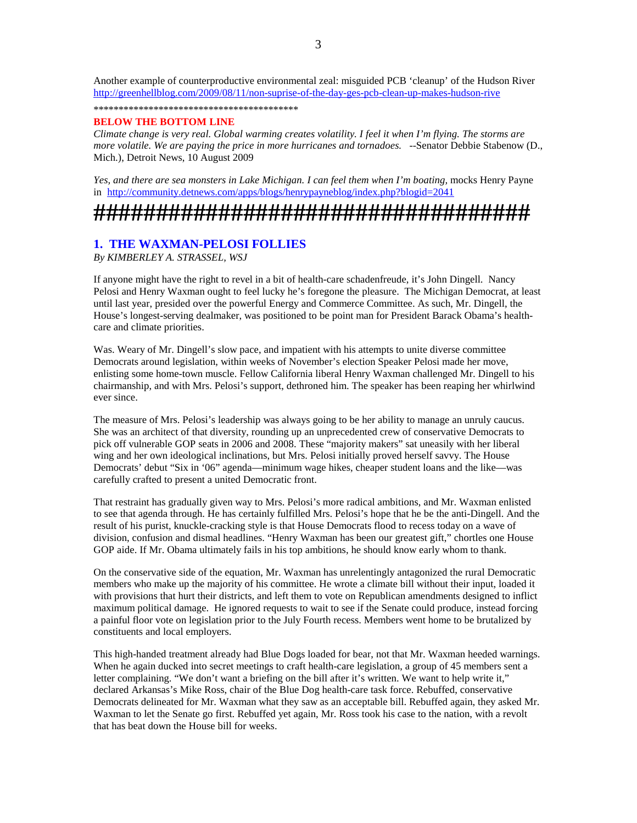Another example of counterproductive environmental zeal: misguided PCB 'cleanup' of the Hudson River http://greenhellblog.com/2009/08/11/non-suprise-of-the-day-ges-pcb-clean-up-makes-hudson-rive

\*\*\*\*\*\*\*\*\*\*\*\*\*\*\*\*\*\*\*\*\*\*\*\*\*\*\*\*\*\*\*\*\*\*\*\*\*\*\*\*\*

#### **BELOW THE BOTTOM LINE**

*Climate change is very real. Global warming creates volatility. I feel it when I'm flying. The storms are more volatile. We are paying the price in more hurricanes and tornadoes.* --Senator Debbie Stabenow (D., Mich.), Detroit News, 10 August 2009

Yes, and there are sea monsters in Lake Michigan. I can feel them when I'm boating, mocks Henry Payne in http://community.detnews.com/apps/blogs/henrypayneblog/index.php?blogid=2041

# **###################################**

#### **1. THE WAXMAN-PELOSI FOLLIES**

*By KIMBERLEY A. STRASSEL, WSJ* 

If anyone might have the right to revel in a bit of health-care schadenfreude, it's John Dingell. Nancy Pelosi and Henry Waxman ought to feel lucky he's foregone the pleasure. The Michigan Democrat, at least until last year, presided over the powerful Energy and Commerce Committee. As such, Mr. Dingell, the House's longest-serving dealmaker, was positioned to be point man for President Barack Obama's healthcare and climate priorities.

Was. Weary of Mr. Dingell's slow pace, and impatient with his attempts to unite diverse committee Democrats around legislation, within weeks of November's election Speaker Pelosi made her move, enlisting some home-town muscle. Fellow California liberal Henry Waxman challenged Mr. Dingell to his chairmanship, and with Mrs. Pelosi's support, dethroned him. The speaker has been reaping her whirlwind ever since.

The measure of Mrs. Pelosi's leadership was always going to be her ability to manage an unruly caucus. She was an architect of that diversity, rounding up an unprecedented crew of conservative Democrats to pick off vulnerable GOP seats in 2006 and 2008. These "majority makers" sat uneasily with her liberal wing and her own ideological inclinations, but Mrs. Pelosi initially proved herself savvy. The House Democrats' debut "Six in '06" agenda—minimum wage hikes, cheaper student loans and the like—was carefully crafted to present a united Democratic front.

That restraint has gradually given way to Mrs. Pelosi's more radical ambitions, and Mr. Waxman enlisted to see that agenda through. He has certainly fulfilled Mrs. Pelosi's hope that he be the anti-Dingell. And the result of his purist, knuckle-cracking style is that House Democrats flood to recess today on a wave of division, confusion and dismal headlines. "Henry Waxman has been our greatest gift," chortles one House GOP aide. If Mr. Obama ultimately fails in his top ambitions, he should know early whom to thank.

On the conservative side of the equation, Mr. Waxman has unrelentingly antagonized the rural Democratic members who make up the majority of his committee. He wrote a climate bill without their input, loaded it with provisions that hurt their districts, and left them to vote on Republican amendments designed to inflict maximum political damage. He ignored requests to wait to see if the Senate could produce, instead forcing a painful floor vote on legislation prior to the July Fourth recess. Members went home to be brutalized by constituents and local employers.

This high-handed treatment already had Blue Dogs loaded for bear, not that Mr. Waxman heeded warnings. When he again ducked into secret meetings to craft health-care legislation, a group of 45 members sent a letter complaining. "We don't want a briefing on the bill after it's written. We want to help write it," declared Arkansas's Mike Ross, chair of the Blue Dog health-care task force. Rebuffed, conservative Democrats delineated for Mr. Waxman what they saw as an acceptable bill. Rebuffed again, they asked Mr. Waxman to let the Senate go first. Rebuffed yet again, Mr. Ross took his case to the nation, with a revolt that has beat down the House bill for weeks.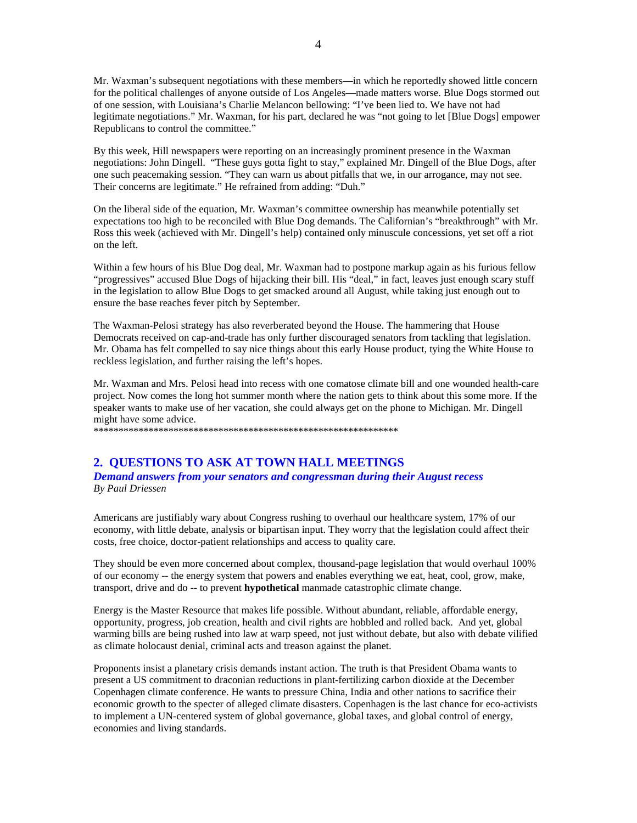Mr. Waxman's subsequent negotiations with these members—in which he reportedly showed little concern for the political challenges of anyone outside of Los Angeles—made matters worse. Blue Dogs stormed out of one session, with Louisiana's Charlie Melancon bellowing: "I've been lied to. We have not had legitimate negotiations." Mr. Waxman, for his part, declared he was "not going to let [Blue Dogs] empower Republicans to control the committee."

By this week, Hill newspapers were reporting on an increasingly prominent presence in the Waxman negotiations: John Dingell. "These guys gotta fight to stay," explained Mr. Dingell of the Blue Dogs, after one such peacemaking session. "They can warn us about pitfalls that we, in our arrogance, may not see. Their concerns are legitimate." He refrained from adding: "Duh."

On the liberal side of the equation, Mr. Waxman's committee ownership has meanwhile potentially set expectations too high to be reconciled with Blue Dog demands. The Californian's "breakthrough" with Mr. Ross this week (achieved with Mr. Dingell's help) contained only minuscule concessions, yet set off a riot on the left.

Within a few hours of his Blue Dog deal, Mr. Waxman had to postpone markup again as his furious fellow "progressives" accused Blue Dogs of hijacking their bill. His "deal," in fact, leaves just enough scary stuff in the legislation to allow Blue Dogs to get smacked around all August, while taking just enough out to ensure the base reaches fever pitch by September.

The Waxman-Pelosi strategy has also reverberated beyond the House. The hammering that House Democrats received on cap-and-trade has only further discouraged senators from tackling that legislation. Mr. Obama has felt compelled to say nice things about this early House product, tying the White House to reckless legislation, and further raising the left's hopes.

Mr. Waxman and Mrs. Pelosi head into recess with one comatose climate bill and one wounded health-care project. Now comes the long hot summer month where the nation gets to think about this some more. If the speaker wants to make use of her vacation, she could always get on the phone to Michigan. Mr. Dingell might have some advice.

\*\*\*\*\*\*\*\*\*\*\*\*\*\*\*\*\*\*\*\*\*\*\*\*\*\*\*\*\*\*\*\*\*\*\*\*\*\*\*\*\*\*\*\*\*\*\*\*\*\*\*\*\*\*\*\*\*\*\*\*\*

## **2. QUESTIONS TO ASK AT TOWN HALL MEETINGS**

*Demand answers from your senators and congressman during their August recess By Paul Driessen* 

Americans are justifiably wary about Congress rushing to overhaul our healthcare system, 17% of our economy, with little debate, analysis or bipartisan input. They worry that the legislation could affect their costs, free choice, doctor-patient relationships and access to quality care.

They should be even more concerned about complex, thousand-page legislation that would overhaul 100% of our economy -- the energy system that powers and enables everything we eat, heat, cool, grow, make, transport, drive and do -- to prevent **hypothetical** manmade catastrophic climate change.

Energy is the Master Resource that makes life possible. Without abundant, reliable, affordable energy, opportunity, progress, job creation, health and civil rights are hobbled and rolled back. And yet, global warming bills are being rushed into law at warp speed, not just without debate, but also with debate vilified as climate holocaust denial, criminal acts and treason against the planet.

Proponents insist a planetary crisis demands instant action. The truth is that President Obama wants to present a US commitment to draconian reductions in plant-fertilizing carbon dioxide at the December Copenhagen climate conference. He wants to pressure China, India and other nations to sacrifice their economic growth to the specter of alleged climate disasters. Copenhagen is the last chance for eco-activists to implement a UN-centered system of global governance, global taxes, and global control of energy, economies and living standards.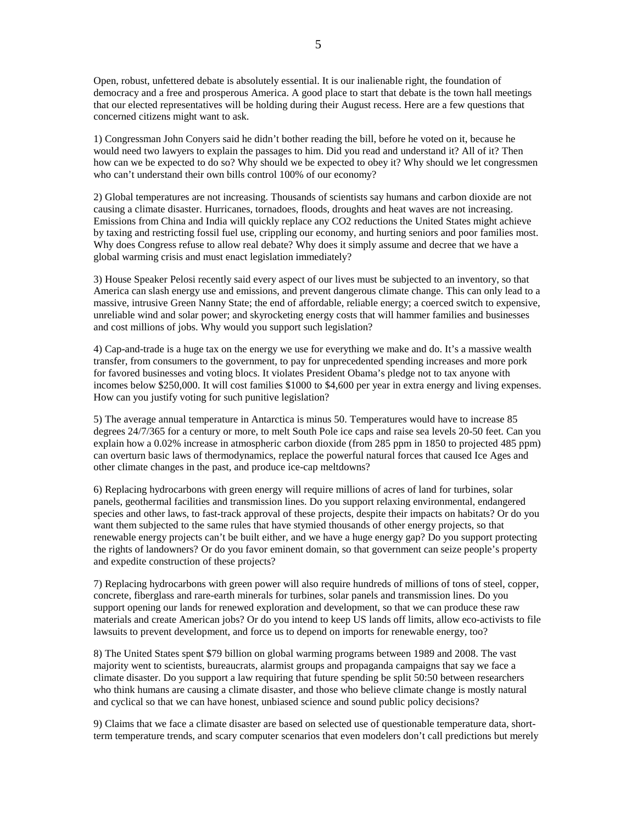Open, robust, unfettered debate is absolutely essential. It is our inalienable right, the foundation of democracy and a free and prosperous America. A good place to start that debate is the town hall meetings that our elected representatives will be holding during their August recess. Here are a few questions that concerned citizens might want to ask.

1) Congressman John Conyers said he didn't bother reading the bill, before he voted on it, because he would need two lawyers to explain the passages to him. Did you read and understand it? All of it? Then how can we be expected to do so? Why should we be expected to obey it? Why should we let congressmen who can't understand their own bills control 100% of our economy?

2) Global temperatures are not increasing. Thousands of scientists say humans and carbon dioxide are not causing a climate disaster. Hurricanes, tornadoes, floods, droughts and heat waves are not increasing. Emissions from China and India will quickly replace any CO2 reductions the United States might achieve by taxing and restricting fossil fuel use, crippling our economy, and hurting seniors and poor families most. Why does Congress refuse to allow real debate? Why does it simply assume and decree that we have a global warming crisis and must enact legislation immediately?

3) House Speaker Pelosi recently said every aspect of our lives must be subjected to an inventory, so that America can slash energy use and emissions, and prevent dangerous climate change. This can only lead to a massive, intrusive Green Nanny State; the end of affordable, reliable energy; a coerced switch to expensive, unreliable wind and solar power; and skyrocketing energy costs that will hammer families and businesses and cost millions of jobs. Why would you support such legislation?

4) Cap-and-trade is a huge tax on the energy we use for everything we make and do. It's a massive wealth transfer, from consumers to the government, to pay for unprecedented spending increases and more pork for favored businesses and voting blocs. It violates President Obama's pledge not to tax anyone with incomes below \$250,000. It will cost families \$1000 to \$4,600 per year in extra energy and living expenses. How can you justify voting for such punitive legislation?

5) The average annual temperature in Antarctica is minus 50. Temperatures would have to increase 85 degrees 24/7/365 for a century or more, to melt South Pole ice caps and raise sea levels 20-50 feet. Can you explain how a 0.02% increase in atmospheric carbon dioxide (from 285 ppm in 1850 to projected 485 ppm) can overturn basic laws of thermodynamics, replace the powerful natural forces that caused Ice Ages and other climate changes in the past, and produce ice-cap meltdowns?

6) Replacing hydrocarbons with green energy will require millions of acres of land for turbines, solar panels, geothermal facilities and transmission lines. Do you support relaxing environmental, endangered species and other laws, to fast-track approval of these projects, despite their impacts on habitats? Or do you want them subjected to the same rules that have stymied thousands of other energy projects, so that renewable energy projects can't be built either, and we have a huge energy gap? Do you support protecting the rights of landowners? Or do you favor eminent domain, so that government can seize people's property and expedite construction of these projects?

7) Replacing hydrocarbons with green power will also require hundreds of millions of tons of steel, copper, concrete, fiberglass and rare-earth minerals for turbines, solar panels and transmission lines. Do you support opening our lands for renewed exploration and development, so that we can produce these raw materials and create American jobs? Or do you intend to keep US lands off limits, allow eco-activists to file lawsuits to prevent development, and force us to depend on imports for renewable energy, too?

8) The United States spent \$79 billion on global warming programs between 1989 and 2008. The vast majority went to scientists, bureaucrats, alarmist groups and propaganda campaigns that say we face a climate disaster. Do you support a law requiring that future spending be split 50:50 between researchers who think humans are causing a climate disaster, and those who believe climate change is mostly natural and cyclical so that we can have honest, unbiased science and sound public policy decisions?

9) Claims that we face a climate disaster are based on selected use of questionable temperature data, shortterm temperature trends, and scary computer scenarios that even modelers don't call predictions but merely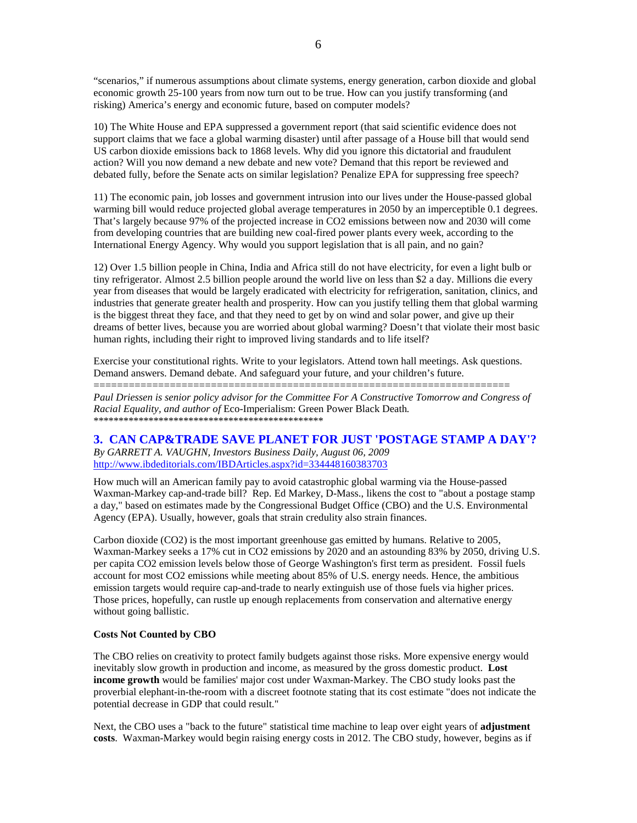"scenarios," if numerous assumptions about climate systems, energy generation, carbon dioxide and global economic growth 25-100 years from now turn out to be true. How can you justify transforming (and risking) America's energy and economic future, based on computer models?

10) The White House and EPA suppressed a government report (that said scientific evidence does not support claims that we face a global warming disaster) until after passage of a House bill that would send US carbon dioxide emissions back to 1868 levels. Why did you ignore this dictatorial and fraudulent action? Will you now demand a new debate and new vote? Demand that this report be reviewed and debated fully, before the Senate acts on similar legislation? Penalize EPA for suppressing free speech?

11) The economic pain, job losses and government intrusion into our lives under the House-passed global warming bill would reduce projected global average temperatures in 2050 by an imperceptible 0.1 degrees. That's largely because 97% of the projected increase in CO2 emissions between now and 2030 will come from developing countries that are building new coal-fired power plants every week, according to the International Energy Agency. Why would you support legislation that is all pain, and no gain?

12) Over 1.5 billion people in China, India and Africa still do not have electricity, for even a light bulb or tiny refrigerator. Almost 2.5 billion people around the world live on less than \$2 a day. Millions die every year from diseases that would be largely eradicated with electricity for refrigeration, sanitation, clinics, and industries that generate greater health and prosperity. How can you justify telling them that global warming is the biggest threat they face, and that they need to get by on wind and solar power, and give up their dreams of better lives, because you are worried about global warming? Doesn't that violate their most basic human rights, including their right to improved living standards and to life itself?

Exercise your constitutional rights. Write to your legislators. Attend town hall meetings. Ask questions. Demand answers. Demand debate. And safeguard your future, and your children's future.

======================================================================= *Paul Driessen is senior policy advisor for the Committee For A Constructive Tomorrow and Congress of Racial Equality, and author of* Eco-Imperialism: Green Power Black Death*.*  \*\*\*\*\*\*\*\*\*\*\*\*\*\*\*\*\*\*\*\*\*\*\*\*\*\*\*\*\*\*\*\*\*\*\*\*\*\*\*\*\*\*\*\*\*\*

#### **3. CAN CAP&TRADE SAVE PLANET FOR JUST 'POSTAGE STAMP A DAY'?**

*By GARRETT A. VAUGHN, Investors Business Daily, August 06, 2009*  http://www.ibdeditorials.com/IBDArticles.aspx?id=334448160383703

How much will an American family pay to avoid catastrophic global warming via the House-passed Waxman-Markey cap-and-trade bill? Rep. Ed Markey, D-Mass., likens the cost to "about a postage stamp a day," based on estimates made by the Congressional Budget Office (CBO) and the U.S. Environmental Agency (EPA). Usually, however, goals that strain credulity also strain finances.

Carbon dioxide (CO2) is the most important greenhouse gas emitted by humans. Relative to 2005, Waxman-Markey seeks a 17% cut in CO2 emissions by 2020 and an astounding 83% by 2050, driving U.S. per capita CO2 emission levels below those of George Washington's first term as president. Fossil fuels account for most CO2 emissions while meeting about 85% of U.S. energy needs. Hence, the ambitious emission targets would require cap-and-trade to nearly extinguish use of those fuels via higher prices. Those prices, hopefully, can rustle up enough replacements from conservation and alternative energy without going ballistic.

#### **Costs Not Counted by CBO**

The CBO relies on creativity to protect family budgets against those risks. More expensive energy would inevitably slow growth in production and income, as measured by the gross domestic product. **Lost income growth** would be families' major cost under Waxman-Markey. The CBO study looks past the proverbial elephant-in-the-room with a discreet footnote stating that its cost estimate "does not indicate the potential decrease in GDP that could result."

Next, the CBO uses a "back to the future" statistical time machine to leap over eight years of **adjustment costs**. Waxman-Markey would begin raising energy costs in 2012. The CBO study, however, begins as if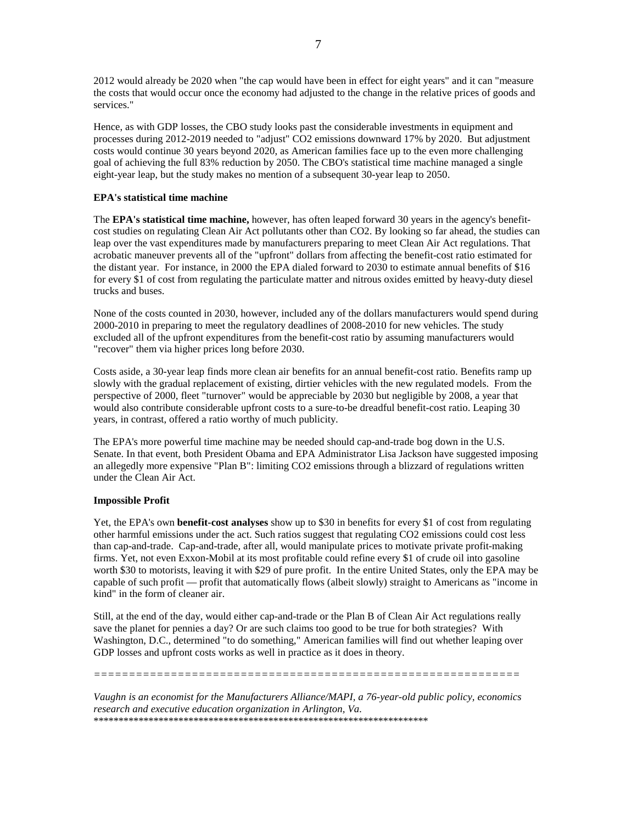2012 would already be 2020 when "the cap would have been in effect for eight years" and it can "measure the costs that would occur once the economy had adjusted to the change in the relative prices of goods and services."

Hence, as with GDP losses, the CBO study looks past the considerable investments in equipment and processes during 2012-2019 needed to "adjust" CO2 emissions downward 17% by 2020. But adjustment costs would continue 30 years beyond 2020, as American families face up to the even more challenging goal of achieving the full 83% reduction by 2050. The CBO's statistical time machine managed a single eight-year leap, but the study makes no mention of a subsequent 30-year leap to 2050.

#### **EPA's statistical time machine**

The **EPA's statistical time machine,** however, has often leaped forward 30 years in the agency's benefitcost studies on regulating Clean Air Act pollutants other than CO2. By looking so far ahead, the studies can leap over the vast expenditures made by manufacturers preparing to meet Clean Air Act regulations. That acrobatic maneuver prevents all of the "upfront" dollars from affecting the benefit-cost ratio estimated for the distant year. For instance, in 2000 the EPA dialed forward to 2030 to estimate annual benefits of \$16 for every \$1 of cost from regulating the particulate matter and nitrous oxides emitted by heavy-duty diesel trucks and buses.

None of the costs counted in 2030, however, included any of the dollars manufacturers would spend during 2000-2010 in preparing to meet the regulatory deadlines of 2008-2010 for new vehicles. The study excluded all of the upfront expenditures from the benefit-cost ratio by assuming manufacturers would "recover" them via higher prices long before 2030.

Costs aside, a 30-year leap finds more clean air benefits for an annual benefit-cost ratio. Benefits ramp up slowly with the gradual replacement of existing, dirtier vehicles with the new regulated models. From the perspective of 2000, fleet "turnover" would be appreciable by 2030 but negligible by 2008, a year that would also contribute considerable upfront costs to a sure-to-be dreadful benefit-cost ratio. Leaping 30 years, in contrast, offered a ratio worthy of much publicity.

The EPA's more powerful time machine may be needed should cap-and-trade bog down in the U.S. Senate. In that event, both President Obama and EPA Administrator Lisa Jackson have suggested imposing an allegedly more expensive "Plan B": limiting CO2 emissions through a blizzard of regulations written under the Clean Air Act.

#### **Impossible Profit**

Yet, the EPA's own **benefit-cost analyses** show up to \$30 in benefits for every \$1 of cost from regulating other harmful emissions under the act. Such ratios suggest that regulating CO2 emissions could cost less than cap-and-trade. Cap-and-trade, after all, would manipulate prices to motivate private profit-making firms. Yet, not even Exxon-Mobil at its most profitable could refine every \$1 of crude oil into gasoline worth \$30 to motorists, leaving it with \$29 of pure profit. In the entire United States, only the EPA may be capable of such profit — profit that automatically flows (albeit slowly) straight to Americans as "income in kind" in the form of cleaner air.

Still, at the end of the day, would either cap-and-trade or the Plan B of Clean Air Act regulations really save the planet for pennies a day? Or are such claims too good to be true for both strategies? With Washington, D.C., determined "to do something," American families will find out whether leaping over GDP losses and upfront costs works as well in practice as it does in theory.

*=============================================================* 

*Vaughn is an economist for the Manufacturers Alliance/MAPI, a 76-year-old public policy, economics research and executive education organization in Arlington, Va.*  \*\*\*\*\*\*\*\*\*\*\*\*\*\*\*\*\*\*\*\*\*\*\*\*\*\*\*\*\*\*\*\*\*\*\*\*\*\*\*\*\*\*\*\*\*\*\*\*\*\*\*\*\*\*\*\*\*\*\*\*\*\*\*\*\*\*\*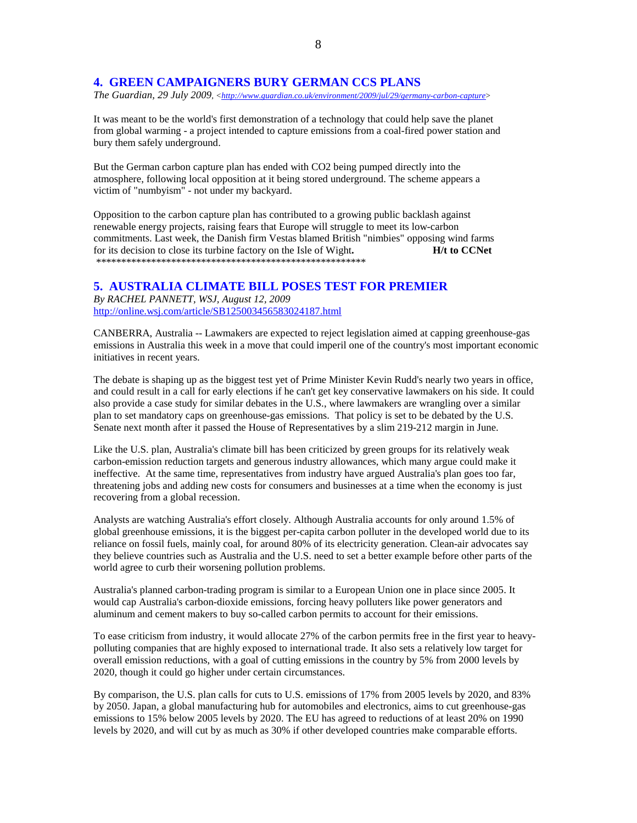#### **4. GREEN CAMPAIGNERS BURY GERMAN CCS PLANS**

*The Guardian, 29 July 2009, <http://www.guardian.co.uk/environment/2009/jul/29/germany-carbon-capture*>

It was meant to be the world's first demonstration of a technology that could help save the planet from global warming - a project intended to capture emissions from a coal-fired power station and bury them safely underground.

But the German carbon capture plan has ended with CO2 being pumped directly into the atmosphere, following local opposition at it being stored underground. The scheme appears a victim of "numbyism" - not under my backyard.

Opposition to the carbon capture plan has contributed to a growing public backlash against renewable energy projects, raising fears that Europe will struggle to meet its low-carbon commitments. Last week, the Danish firm Vestas blamed British "nimbies" opposing wind farms for its decision to close its turbine factory on the Isle of Wight**. H/t to CCNet**  \*\*\*\*\*\*\*\*\*\*\*\*\*\*\*\*\*\*\*\*\*\*\*\*\*\*\*\*\*\*\*\*\*\*\*\*\*\*\*\*\*\*\*\*\*\*\*\*\*\*\*\*\*\*

#### **5. AUSTRALIA CLIMATE BILL POSES TEST FOR PREMIER**

*By RACHEL PANNETT, WSJ, August 12, 2009*  http://online.wsj.com/article/SB125003456583024187.html

CANBERRA, Australia -- Lawmakers are expected to reject legislation aimed at capping greenhouse-gas emissions in Australia this week in a move that could imperil one of the country's most important economic initiatives in recent years.

The debate is shaping up as the biggest test yet of Prime Minister Kevin Rudd's nearly two years in office, and could result in a call for early elections if he can't get key conservative lawmakers on his side. It could also provide a case study for similar debates in the U.S., where lawmakers are wrangling over a similar plan to set mandatory caps on greenhouse-gas emissions. That policy is set to be debated by the U.S. Senate next month after it passed the House of Representatives by a slim 219-212 margin in June.

Like the U.S. plan, Australia's climate bill has been criticized by green groups for its relatively weak carbon-emission reduction targets and generous industry allowances, which many argue could make it ineffective. At the same time, representatives from industry have argued Australia's plan goes too far, threatening jobs and adding new costs for consumers and businesses at a time when the economy is just recovering from a global recession.

Analysts are watching Australia's effort closely. Although Australia accounts for only around 1.5% of global greenhouse emissions, it is the biggest per-capita carbon polluter in the developed world due to its reliance on fossil fuels, mainly coal, for around 80% of its electricity generation. Clean-air advocates say they believe countries such as Australia and the U.S. need to set a better example before other parts of the world agree to curb their worsening pollution problems.

Australia's planned carbon-trading program is similar to a European Union one in place since 2005. It would cap Australia's carbon-dioxide emissions, forcing heavy polluters like power generators and aluminum and cement makers to buy so-called carbon permits to account for their emissions.

To ease criticism from industry, it would allocate 27% of the carbon permits free in the first year to heavypolluting companies that are highly exposed to international trade. It also sets a relatively low target for overall emission reductions, with a goal of cutting emissions in the country by 5% from 2000 levels by 2020, though it could go higher under certain circumstances.

By comparison, the U.S. plan calls for cuts to U.S. emissions of 17% from 2005 levels by 2020, and 83% by 2050. Japan, a global manufacturing hub for automobiles and electronics, aims to cut greenhouse-gas emissions to 15% below 2005 levels by 2020. The EU has agreed to reductions of at least 20% on 1990 levels by 2020, and will cut by as much as 30% if other developed countries make comparable efforts.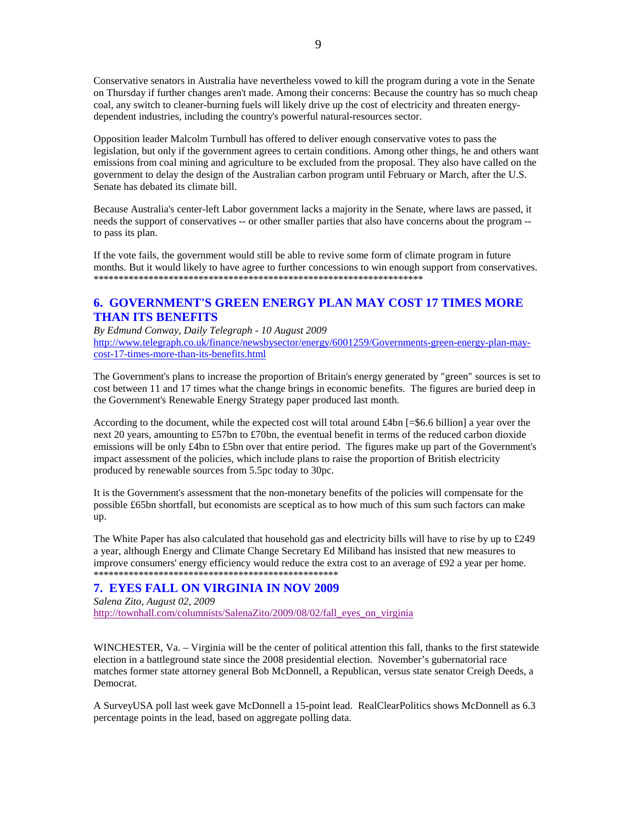Conservative senators in Australia have nevertheless vowed to kill the program during a vote in the Senate on Thursday if further changes aren't made. Among their concerns: Because the country has so much cheap coal, any switch to cleaner-burning fuels will likely drive up the cost of electricity and threaten energydependent industries, including the country's powerful natural-resources sector.

Opposition leader Malcolm Turnbull has offered to deliver enough conservative votes to pass the legislation, but only if the government agrees to certain conditions. Among other things, he and others want emissions from coal mining and agriculture to be excluded from the proposal. They also have called on the government to delay the design of the Australian carbon program until February or March, after the U.S. Senate has debated its climate bill.

Because Australia's center-left Labor government lacks a majority in the Senate, where laws are passed, it needs the support of conservatives -- or other smaller parties that also have concerns about the program - to pass its plan.

If the vote fails, the government would still be able to revive some form of climate program in future months. But it would likely to have agree to further concessions to win enough support from conservatives. \*\*\*\*\*\*\*\*\*\*\*\*\*\*\*\*\*\*\*\*\*\*\*\*\*\*\*\*\*\*\*\*\*\*\*\*\*\*\*\*\*\*\*\*\*\*\*\*\*\*\*\*\*\*\*\*\*\*\*\*\*\*\*\*\*\*

## **6. GOVERNMENT'S GREEN ENERGY PLAN MAY COST 17 TIMES MORE THAN ITS BENEFITS**

*By Edmund Conway, Daily Telegraph - 10 August 2009*  http://www.telegraph.co.uk/finance/newsbysector/energy/6001259/Governments-green-energy-plan-maycost-17-times-more-than-its-benefits.html

The Government's plans to increase the proportion of Britain's energy generated by "green" sources is set to cost between 11 and 17 times what the change brings in economic benefits. The figures are buried deep in the Government's Renewable Energy Strategy paper produced last month.

According to the document, while the expected cost will total around £4bn [=\$6.6 billion] a year over the next 20 years, amounting to £57bn to £70bn, the eventual benefit in terms of the reduced carbon dioxide emissions will be only £4bn to £5bn over that entire period. The figures make up part of the Government's impact assessment of the policies, which include plans to raise the proportion of British electricity produced by renewable sources from 5.5pc today to 30pc.

It is the Government's assessment that the non-monetary benefits of the policies will compensate for the possible £65bn shortfall, but economists are sceptical as to how much of this sum such factors can make up.

The White Paper has also calculated that household gas and electricity bills will have to rise by up to £249 a year, although Energy and Climate Change Secretary Ed Miliband has insisted that new measures to improve consumers' energy efficiency would reduce the extra cost to an average of £92 a year per home. \*\*\*\*\*\*\*\*\*\*\*\*\*\*\*\*\*\*\*\*\*\*\*\*\*\*\*\*\*\*\*\*\*\*\*\*\*\*\*\*\*\*\*\*\*\*\*\*\*

### **7. EYES FALL ON VIRGINIA IN NOV 2009**

*Salena Zito, August 02, 2009*  http://townhall.com/columnists/SalenaZito/2009/08/02/fall\_eyes\_on\_virginia

WINCHESTER, Va. – Virginia will be the center of political attention this fall, thanks to the first statewide election in a battleground state since the 2008 presidential election. November's gubernatorial race matches former state attorney general Bob McDonnell, a Republican, versus state senator Creigh Deeds, a Democrat.

A SurveyUSA poll last week gave McDonnell a 15-point lead. RealClearPolitics shows McDonnell as 6.3 percentage points in the lead, based on aggregate polling data.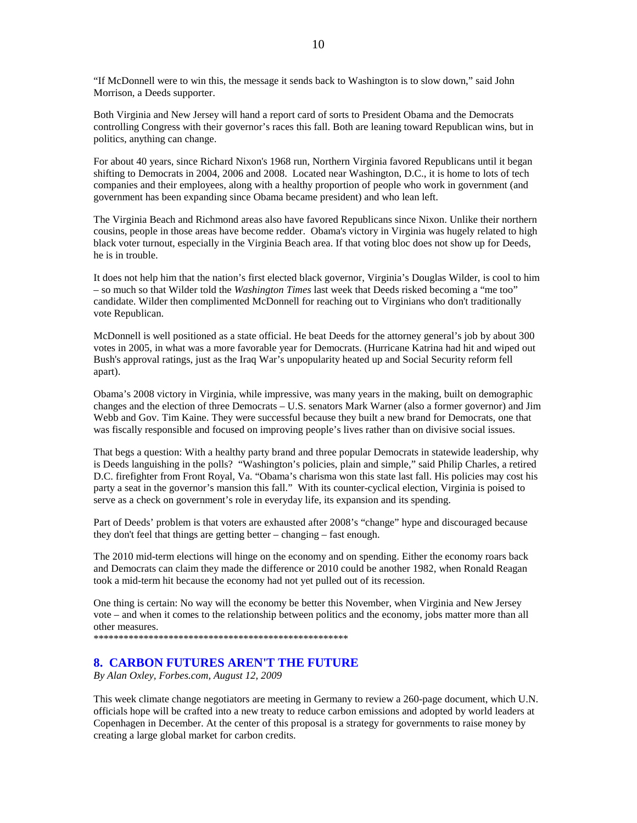"If McDonnell were to win this, the message it sends back to Washington is to slow down," said John Morrison, a Deeds supporter.

Both Virginia and New Jersey will hand a report card of sorts to President Obama and the Democrats controlling Congress with their governor's races this fall. Both are leaning toward Republican wins, but in politics, anything can change.

For about 40 years, since Richard Nixon's 1968 run, Northern Virginia favored Republicans until it began shifting to Democrats in 2004, 2006 and 2008. Located near Washington, D.C., it is home to lots of tech companies and their employees, along with a healthy proportion of people who work in government (and government has been expanding since Obama became president) and who lean left.

The Virginia Beach and Richmond areas also have favored Republicans since Nixon. Unlike their northern cousins, people in those areas have become redder. Obama's victory in Virginia was hugely related to high black voter turnout, especially in the Virginia Beach area. If that voting bloc does not show up for Deeds, he is in trouble.

It does not help him that the nation's first elected black governor, Virginia's Douglas Wilder, is cool to him – so much so that Wilder told the *Washington Times* last week that Deeds risked becoming a "me too" candidate. Wilder then complimented McDonnell for reaching out to Virginians who don't traditionally vote Republican.

McDonnell is well positioned as a state official. He beat Deeds for the attorney general's job by about 300 votes in 2005, in what was a more favorable year for Democrats. (Hurricane Katrina had hit and wiped out Bush's approval ratings, just as the Iraq War's unpopularity heated up and Social Security reform fell apart).

Obama's 2008 victory in Virginia, while impressive, was many years in the making, built on demographic changes and the election of three Democrats – U.S. senators Mark Warner (also a former governor) and Jim Webb and Gov. Tim Kaine. They were successful because they built a new brand for Democrats, one that was fiscally responsible and focused on improving people's lives rather than on divisive social issues.

That begs a question: With a healthy party brand and three popular Democrats in statewide leadership, why is Deeds languishing in the polls? "Washington's policies, plain and simple," said Philip Charles, a retired D.C. firefighter from Front Royal, Va. "Obama's charisma won this state last fall. His policies may cost his party a seat in the governor's mansion this fall." With its counter-cyclical election, Virginia is poised to serve as a check on government's role in everyday life, its expansion and its spending.

Part of Deeds' problem is that voters are exhausted after 2008's "change" hype and discouraged because they don't feel that things are getting better – changing – fast enough.

The 2010 mid-term elections will hinge on the economy and on spending. Either the economy roars back and Democrats can claim they made the difference or 2010 could be another 1982, when Ronald Reagan took a mid-term hit because the economy had not yet pulled out of its recession.

One thing is certain: No way will the economy be better this November, when Virginia and New Jersey vote – and when it comes to the relationship between politics and the economy, jobs matter more than all other measures.

\*\*\*\*\*\*\*\*\*\*\*\*\*\*\*\*\*\*\*\*\*\*\*\*\*\*\*\*\*\*\*\*\*\*\*\*\*\*\*\*\*\*\*\*\*\*\*\*\*\*\*

## **8. CARBON FUTURES AREN'T THE FUTURE**

*By Alan Oxley, Forbes.com, August 12, 2009* 

This week climate change negotiators are meeting in Germany to review a 260-page document, which U.N. officials hope will be crafted into a new treaty to reduce carbon emissions and adopted by world leaders at Copenhagen in December. At the center of this proposal is a strategy for governments to raise money by creating a large global market for carbon credits.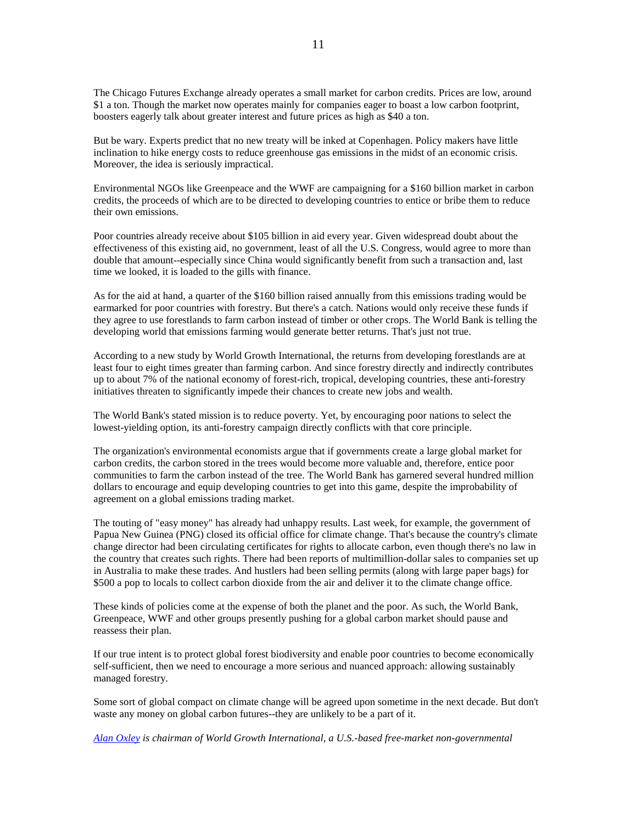The Chicago Futures Exchange already operates a small market for carbon credits. Prices are low, around \$1 a ton. Though the market now operates mainly for companies eager to boast a low carbon footprint, boosters eagerly talk about greater interest and future prices as high as \$40 a ton.

But be wary. Experts predict that no new treaty will be inked at Copenhagen. Policy makers have little inclination to hike energy costs to reduce greenhouse gas emissions in the midst of an economic crisis. Moreover, the idea is seriously impractical.

Environmental NGOs like Greenpeace and the WWF are campaigning for a \$160 billion market in carbon credits, the proceeds of which are to be directed to developing countries to entice or bribe them to reduce their own emissions.

Poor countries already receive about \$105 billion in aid every year. Given widespread doubt about the effectiveness of this existing aid, no government, least of all the U.S. Congress, would agree to more than double that amount--especially since China would significantly benefit from such a transaction and, last time we looked, it is loaded to the gills with finance.

As for the aid at hand, a quarter of the \$160 billion raised annually from this emissions trading would be earmarked for poor countries with forestry. But there's a catch. Nations would only receive these funds if they agree to use forestlands to farm carbon instead of timber or other crops. The World Bank is telling the developing world that emissions farming would generate better returns. That's just not true.

According to a new study by World Growth International, the returns from developing forestlands are at least four to eight times greater than farming carbon. And since forestry directly and indirectly contributes up to about 7% of the national economy of forest-rich, tropical, developing countries, these anti-forestry initiatives threaten to significantly impede their chances to create new jobs and wealth.

The World Bank's stated mission is to reduce poverty. Yet, by encouraging poor nations to select the lowest-yielding option, its anti-forestry campaign directly conflicts with that core principle.

The organization's environmental economists argue that if governments create a large global market for carbon credits, the carbon stored in the trees would become more valuable and, therefore, entice poor communities to farm the carbon instead of the tree. The World Bank has garnered several hundred million dollars to encourage and equip developing countries to get into this game, despite the improbability of agreement on a global emissions trading market.

The touting of "easy money" has already had unhappy results. Last week, for example, the government of Papua New Guinea (PNG) closed its official office for climate change. That's because the country's climate change director had been circulating certificates for rights to allocate carbon, even though there's no law in the country that creates such rights. There had been reports of multimillion-dollar sales to companies set up in Australia to make these trades. And hustlers had been selling permits (along with large paper bags) for \$500 a pop to locals to collect carbon dioxide from the air and deliver it to the climate change office.

These kinds of policies come at the expense of both the planet and the poor. As such, the World Bank, Greenpeace, WWF and other groups presently pushing for a global carbon market should pause and reassess their plan.

If our true intent is to protect global forest biodiversity and enable poor countries to become economically self-sufficient, then we need to encourage a more serious and nuanced approach: allowing sustainably managed forestry.

Some sort of global compact on climate change will be agreed upon sometime in the next decade. But don't waste any money on global carbon futures--they are unlikely to be a part of it.

*Alan Oxley is chairman of World Growth International, a U.S.-based free-market non-governmental*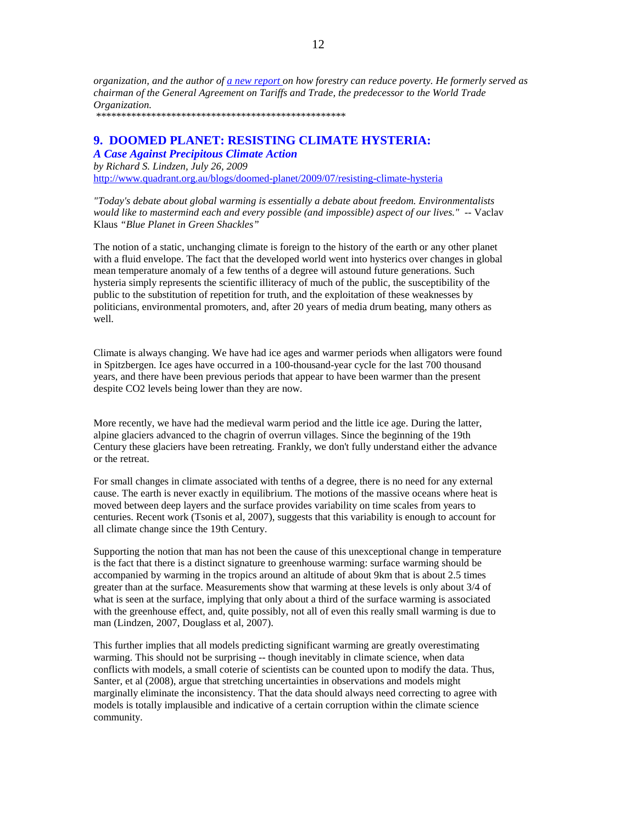*organization, and the author of a new report on how forestry can reduce poverty. He formerly served as chairman of the General Agreement on Tariffs and Trade, the predecessor to the World Trade Organization.* 

\*\*\*\*\*\*\*\*\*\*\*\*\*\*\*\*\*\*\*\*\*\*\*\*\*\*\*\*\*\*\*\*\*\*\*\*\*\*\*\*\*\*\*\*\*\*\*\*\*\*

## **9. DOOMED PLANET: RESISTING CLIMATE HYSTERIA:**

*A Case Against Precipitous Climate Action by Richard S. Lindzen, July 26, 2009*  http://www.quadrant.org.au/blogs/doomed-planet/2009/07/resisting-climate-hysteria

*"Today's debate about global warming is essentially a debate about freedom. Environmentalists would like to mastermind each and every possible (and impossible) aspect of our lives." --* Vaclav Klaus *"Blue Planet in Green Shackles"* 

The notion of a static, unchanging climate is foreign to the history of the earth or any other planet with a fluid envelope. The fact that the developed world went into hysterics over changes in global mean temperature anomaly of a few tenths of a degree will astound future generations. Such hysteria simply represents the scientific illiteracy of much of the public, the susceptibility of the public to the substitution of repetition for truth, and the exploitation of these weaknesses by politicians, environmental promoters, and, after 20 years of media drum beating, many others as well.

Climate is always changing. We have had ice ages and warmer periods when alligators were found in Spitzbergen. Ice ages have occurred in a 100-thousand-year cycle for the last 700 thousand years, and there have been previous periods that appear to have been warmer than the present despite CO2 levels being lower than they are now.

More recently, we have had the medieval warm period and the little ice age. During the latter, alpine glaciers advanced to the chagrin of overrun villages. Since the beginning of the 19th Century these glaciers have been retreating. Frankly, we don't fully understand either the advance or the retreat.

For small changes in climate associated with tenths of a degree, there is no need for any external cause. The earth is never exactly in equilibrium. The motions of the massive oceans where heat is moved between deep layers and the surface provides variability on time scales from years to centuries. Recent work (Tsonis et al, 2007), suggests that this variability is enough to account for all climate change since the 19th Century.

Supporting the notion that man has not been the cause of this unexceptional change in temperature is the fact that there is a distinct signature to greenhouse warming: surface warming should be accompanied by warming in the tropics around an altitude of about 9km that is about 2.5 times greater than at the surface. Measurements show that warming at these levels is only about 3/4 of what is seen at the surface, implying that only about a third of the surface warming is associated with the greenhouse effect, and, quite possibly, not all of even this really small warming is due to man (Lindzen, 2007, Douglass et al, 2007).

This further implies that all models predicting significant warming are greatly overestimating warming. This should not be surprising -- though inevitably in climate science, when data conflicts with models, a small coterie of scientists can be counted upon to modify the data. Thus, Santer, et al (2008), argue that stretching uncertainties in observations and models might marginally eliminate the inconsistency. That the data should always need correcting to agree with models is totally implausible and indicative of a certain corruption within the climate science community.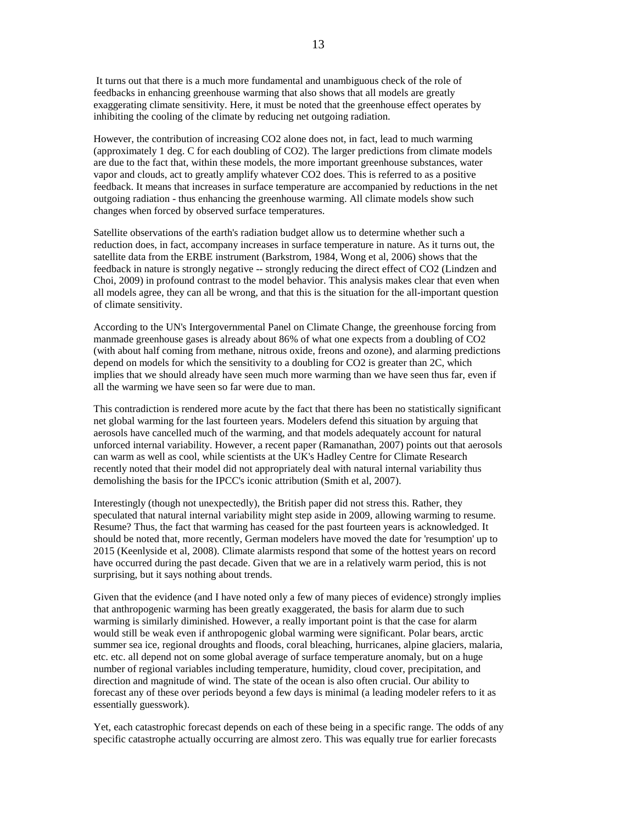It turns out that there is a much more fundamental and unambiguous check of the role of feedbacks in enhancing greenhouse warming that also shows that all models are greatly exaggerating climate sensitivity. Here, it must be noted that the greenhouse effect operates by inhibiting the cooling of the climate by reducing net outgoing radiation.

However, the contribution of increasing CO2 alone does not, in fact, lead to much warming (approximately 1 deg. C for each doubling of CO2). The larger predictions from climate models are due to the fact that, within these models, the more important greenhouse substances, water vapor and clouds, act to greatly amplify whatever CO2 does. This is referred to as a positive feedback. It means that increases in surface temperature are accompanied by reductions in the net outgoing radiation - thus enhancing the greenhouse warming. All climate models show such changes when forced by observed surface temperatures.

Satellite observations of the earth's radiation budget allow us to determine whether such a reduction does, in fact, accompany increases in surface temperature in nature. As it turns out, the satellite data from the ERBE instrument (Barkstrom, 1984, Wong et al, 2006) shows that the feedback in nature is strongly negative -- strongly reducing the direct effect of CO2 (Lindzen and Choi, 2009) in profound contrast to the model behavior. This analysis makes clear that even when all models agree, they can all be wrong, and that this is the situation for the all-important question of climate sensitivity.

According to the UN's Intergovernmental Panel on Climate Change, the greenhouse forcing from manmade greenhouse gases is already about 86% of what one expects from a doubling of CO2 (with about half coming from methane, nitrous oxide, freons and ozone), and alarming predictions depend on models for which the sensitivity to a doubling for CO2 is greater than 2C, which implies that we should already have seen much more warming than we have seen thus far, even if all the warming we have seen so far were due to man.

This contradiction is rendered more acute by the fact that there has been no statistically significant net global warming for the last fourteen years. Modelers defend this situation by arguing that aerosols have cancelled much of the warming, and that models adequately account for natural unforced internal variability. However, a recent paper (Ramanathan, 2007) points out that aerosols can warm as well as cool, while scientists at the UK's Hadley Centre for Climate Research recently noted that their model did not appropriately deal with natural internal variability thus demolishing the basis for the IPCC's iconic attribution (Smith et al, 2007).

Interestingly (though not unexpectedly), the British paper did not stress this. Rather, they speculated that natural internal variability might step aside in 2009, allowing warming to resume. Resume? Thus, the fact that warming has ceased for the past fourteen years is acknowledged. It should be noted that, more recently, German modelers have moved the date for 'resumption' up to 2015 (Keenlyside et al, 2008). Climate alarmists respond that some of the hottest years on record have occurred during the past decade. Given that we are in a relatively warm period, this is not surprising, but it says nothing about trends.

Given that the evidence (and I have noted only a few of many pieces of evidence) strongly implies that anthropogenic warming has been greatly exaggerated, the basis for alarm due to such warming is similarly diminished. However, a really important point is that the case for alarm would still be weak even if anthropogenic global warming were significant. Polar bears, arctic summer sea ice, regional droughts and floods, coral bleaching, hurricanes, alpine glaciers, malaria, etc. etc. all depend not on some global average of surface temperature anomaly, but on a huge number of regional variables including temperature, humidity, cloud cover, precipitation, and direction and magnitude of wind. The state of the ocean is also often crucial. Our ability to forecast any of these over periods beyond a few days is minimal (a leading modeler refers to it as essentially guesswork).

Yet, each catastrophic forecast depends on each of these being in a specific range. The odds of any specific catastrophe actually occurring are almost zero. This was equally true for earlier forecasts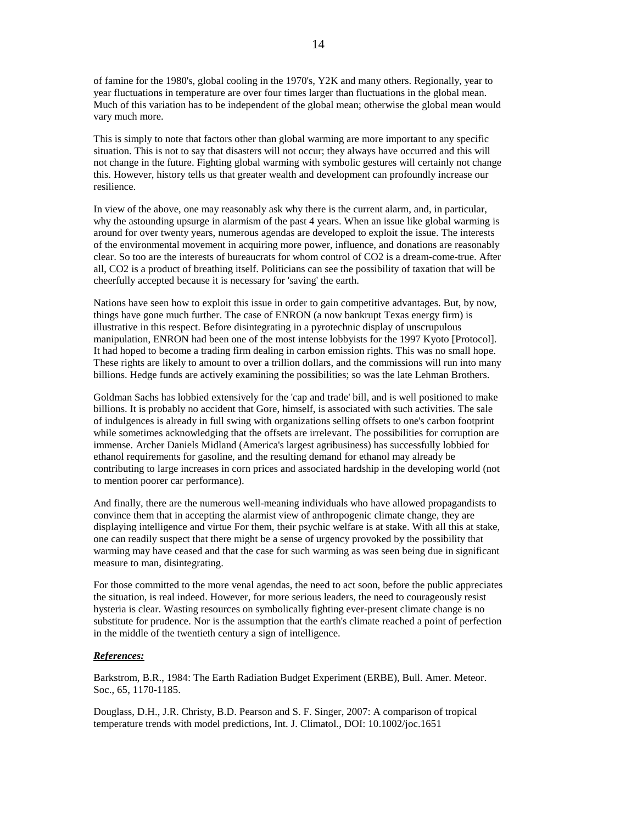of famine for the 1980's, global cooling in the 1970's, Y2K and many others. Regionally, year to year fluctuations in temperature are over four times larger than fluctuations in the global mean. Much of this variation has to be independent of the global mean; otherwise the global mean would vary much more.

This is simply to note that factors other than global warming are more important to any specific situation. This is not to say that disasters will not occur; they always have occurred and this will not change in the future. Fighting global warming with symbolic gestures will certainly not change this. However, history tells us that greater wealth and development can profoundly increase our resilience.

In view of the above, one may reasonably ask why there is the current alarm, and, in particular, why the astounding upsurge in alarmism of the past 4 years. When an issue like global warming is around for over twenty years, numerous agendas are developed to exploit the issue. The interests of the environmental movement in acquiring more power, influence, and donations are reasonably clear. So too are the interests of bureaucrats for whom control of CO2 is a dream-come-true. After all, CO2 is a product of breathing itself. Politicians can see the possibility of taxation that will be cheerfully accepted because it is necessary for 'saving' the earth.

Nations have seen how to exploit this issue in order to gain competitive advantages. But, by now, things have gone much further. The case of ENRON (a now bankrupt Texas energy firm) is illustrative in this respect. Before disintegrating in a pyrotechnic display of unscrupulous manipulation, ENRON had been one of the most intense lobbyists for the 1997 Kyoto [Protocol]. It had hoped to become a trading firm dealing in carbon emission rights. This was no small hope. These rights are likely to amount to over a trillion dollars, and the commissions will run into many billions. Hedge funds are actively examining the possibilities; so was the late Lehman Brothers.

Goldman Sachs has lobbied extensively for the 'cap and trade' bill, and is well positioned to make billions. It is probably no accident that Gore, himself, is associated with such activities. The sale of indulgences is already in full swing with organizations selling offsets to one's carbon footprint while sometimes acknowledging that the offsets are irrelevant. The possibilities for corruption are immense. Archer Daniels Midland (America's largest agribusiness) has successfully lobbied for ethanol requirements for gasoline, and the resulting demand for ethanol may already be contributing to large increases in corn prices and associated hardship in the developing world (not to mention poorer car performance).

And finally, there are the numerous well-meaning individuals who have allowed propagandists to convince them that in accepting the alarmist view of anthropogenic climate change, they are displaying intelligence and virtue For them, their psychic welfare is at stake. With all this at stake, one can readily suspect that there might be a sense of urgency provoked by the possibility that warming may have ceased and that the case for such warming as was seen being due in significant measure to man, disintegrating.

For those committed to the more venal agendas, the need to act soon, before the public appreciates the situation, is real indeed. However, for more serious leaders, the need to courageously resist hysteria is clear. Wasting resources on symbolically fighting ever-present climate change is no substitute for prudence. Nor is the assumption that the earth's climate reached a point of perfection in the middle of the twentieth century a sign of intelligence.

#### *References:*

Barkstrom, B.R., 1984: The Earth Radiation Budget Experiment (ERBE), Bull. Amer. Meteor. Soc., 65, 1170-1185.

Douglass, D.H., J.R. Christy, B.D. Pearson and S. F. Singer, 2007: A comparison of tropical temperature trends with model predictions, Int. J. Climatol., DOI: 10.1002/joc.1651